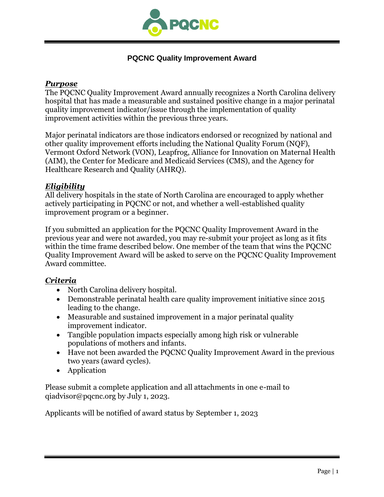

### **PQCNC Quality Improvement Award**

#### *Purpose*

The PQCNC Quality Improvement Award annually recognizes a North Carolina delivery hospital that has made a measurable and sustained positive change in a major perinatal quality improvement indicator/issue through the implementation of quality improvement activities within the previous three years.

Major perinatal indicators are those indicators endorsed or recognized by national and other quality improvement efforts including the National Quality Forum (NQF), Vermont Oxford Network (VON), Leapfrog, Alliance for Innovation on Maternal Health (AIM), the Center for Medicare and Medicaid Services (CMS), and the Agency for Healthcare Research and Quality (AHRQ).

#### *Eligibility*

All delivery hospitals in the state of North Carolina are encouraged to apply whether actively participating in PQCNC or not, and whether a well-established quality improvement program or a beginner.

If you submitted an application for the PQCNC Quality Improvement Award in the previous year and were not awarded, you may re-submit your project as long as it fits within the time frame described below. One member of the team that wins the PQCNC Quality Improvement Award will be asked to serve on the PQCNC Quality Improvement Award committee.

#### *Criteria*

- North Carolina delivery hospital.
- Demonstrable perinatal health care quality improvement initiative since 2015 leading to the change.
- Measurable and sustained improvement in a major perinatal quality improvement indicator.
- Tangible population impacts especially among high risk or vulnerable populations of mothers and infants.
- Have not been awarded the PQCNC Quality Improvement Award in the previous two years (award cycles).
- Application

Please submit a complete application and all attachments in one e-mail to qiadvisor@pqcnc.org by July 1, 2023.

Applicants will be notified of award status by September 1, 2023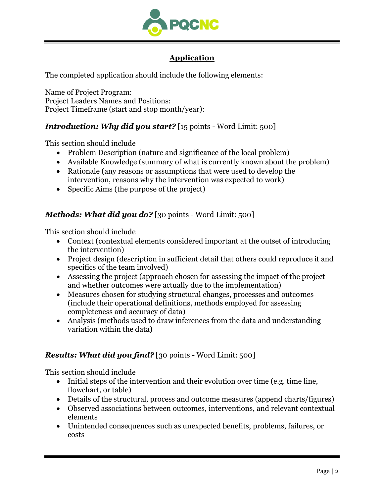

# **Application**

The completed application should include the following elements:

Name of Project Program: Project Leaders Names and Positions: Project Timeframe (start and stop month/year):

### *Introduction: Why did you start?* [15 points - Word Limit: 500]

This section should include

- Problem Description (nature and significance of the local problem)
- Available Knowledge (summary of what is currently known about the problem)
- Rationale (any reasons or assumptions that were used to develop the intervention, reasons why the intervention was expected to work)
- Specific Aims (the purpose of the project)

### *Methods: What did you do?* [30 points - Word Limit: 500]

This section should include

- Context (contextual elements considered important at the outset of introducing the intervention)
- Project design (description in sufficient detail that others could reproduce it and specifics of the team involved)
- Assessing the project (approach chosen for assessing the impact of the project and whether outcomes were actually due to the implementation)
- Measures chosen for studying structural changes, processes and outcomes (include their operational definitions, methods employed for assessing completeness and accuracy of data)
- Analysis (methods used to draw inferences from the data and understanding variation within the data)

### *Results: What did you find?* [30 points - Word Limit: 500]

This section should include

- Initial steps of the intervention and their evolution over time (e.g. time line, flowchart, or table)
- Details of the structural, process and outcome measures (append charts/figures)
- Observed associations between outcomes, interventions, and relevant contextual elements
- Unintended consequences such as unexpected benefits, problems, failures, or costs